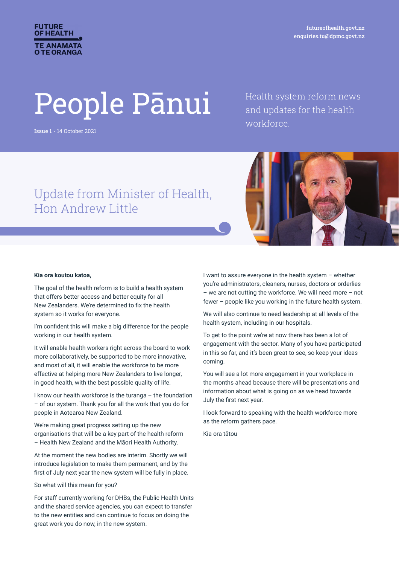

futureofhealth.govt.nz enquiries.tu@dpmc.govt.nz

# People Pānui

Issue 1 - 14 October 2021

Health system reform news and updates for the health workforce.

# Update from Minister of Health, Hon Andrew Little



#### **Kia ora koutou katoa,**

The goal of the health reform is to build a health system that offers better access and better equity for all New Zealanders. We're determined to fix the health system so it works for everyone.

I'm confident this will make a big difference for the people working in our health system.

It will enable health workers right across the board to work more collaboratively, be supported to be more innovative, and most of all, it will enable the workforce to be more effective at helping more New Zealanders to live longer, in good health, with the best possible quality of life.

I know our health workforce is the turanga – the foundation – of our system. Thank you for all the work that you do for people in Aotearoa New Zealand.

We're making great progress setting up the new organisations that will be a key part of the health reform – Health New Zealand and the Māori Health Authority.

At the moment the new bodies are interim. Shortly we will introduce legislation to make them permanent, and by the first of July next year the new system will be fully in place.

So what will this mean for you?

For staff currently working for DHBs, the Public Health Units and the shared service agencies, you can expect to transfer to the new entities and can continue to focus on doing the great work you do now, in the new system.

I want to assure everyone in the health system – whether you're administrators, cleaners, nurses, doctors or orderlies – we are not cutting the workforce. We will need more – not fewer – people like you working in the future health system.

We will also continue to need leadership at all levels of the health system, including in our hospitals.

To get to the point we're at now there has been a lot of engagement with the sector. Many of you have participated in this so far, and it's been great to see, so keep your ideas coming.

You will see a lot more engagement in your workplace in the months ahead because there will be presentations and information about what is going on as we head towards July the first next year.

I look forward to speaking with the health workforce more as the reform gathers pace.

Kia ora tātou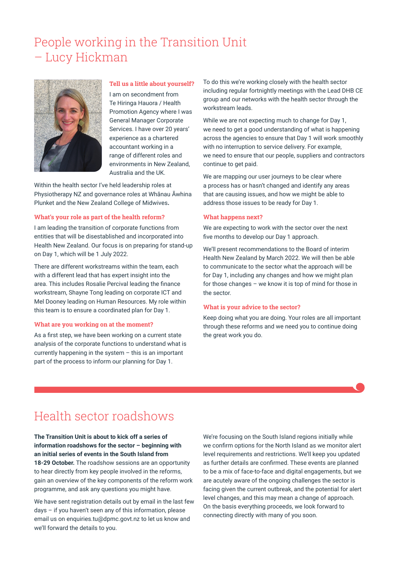# People working in the Transition Unit – Lucy Hickman



#### **Tell us a little about yourself?**

I am on secondment from Te Hiringa Hauora / Health Promotion Agency where I was General Manager Corporate Services. I have over 20 years' experience as a chartered accountant working in a range of different roles and environments in New Zealand, Australia and the UK.

Within the health sector I've held leadership roles at Physiotherapy NZ and governance roles at Whānau Āwhina Plunket and the New Zealand College of Midwives**.** 

#### **What's your role as part of the health reform?**

I am leading the transition of corporate functions from entities that will be disestablished and incorporated into Health New Zealand. Our focus is on preparing for stand-up on Day 1, which will be 1 July 2022.

There are different workstreams within the team, each with a different lead that has expert insight into the area. This includes Rosalie Percival leading the finance workstream, Shayne Tong leading on corporate ICT and Mel Dooney leading on Human Resources. My role within this team is to ensure a coordinated plan for Day 1.

#### **What are you working on at the moment?**

As a first step, we have been working on a current state analysis of the corporate functions to understand what is currently happening in the system – this is an important part of the process to inform our planning for Day 1.

To do this we're working closely with the health sector including regular fortnightly meetings with the Lead DHB CE group and our networks with the health sector through the workstream leads.

While we are not expecting much to change for Day 1, we need to get a good understanding of what is happening across the agencies to ensure that Day 1 will work smoothly with no interruption to service delivery. For example, we need to ensure that our people, suppliers and contractors continue to get paid.

We are mapping our user journeys to be clear where a process has or hasn't changed and identify any areas that are causing issues, and how we might be able to address those issues to be ready for Day 1.

#### **What happens next?**

We are expecting to work with the sector over the next five months to develop our Day 1 approach.

We'll present recommendations to the Board of interim Health New Zealand by March 2022. We will then be able to communicate to the sector what the approach will be for Day 1, including any changes and how we might plan for those changes – we know it is top of mind for those in the sector.

#### **What is your advice to the sector?**

Keep doing what you are doing. Your roles are all important through these reforms and we need you to continue doing the great work you do.

# Health sector roadshows

# **The Transition Unit is about to kick off a series of information roadshows for the sector – beginning with an initial series of events in the South Island from 18-29 October.** The roadshow sessions are an opportunity to hear directly from key people involved in the reforms, gain an overview of the key components of the reform work

programme, and ask any questions you might have.

We have sent registration details out by email in the last few days – if you haven't seen any of this information, please email us on enquiries.tu@dpmc.govt.nz to let us know and we'll forward the details to you.

We're focusing on the South Island regions initially while we confirm options for the North Island as we monitor alert level requirements and restrictions. We'll keep you updated as further details are confirmed. These events are planned to be a mix of face-to-face and digital engagements, but we are acutely aware of the ongoing challenges the sector is facing given the current outbreak, and the potential for alert level changes, and this may mean a change of approach. On the basis everything proceeds, we look forward to connecting directly with many of you soon.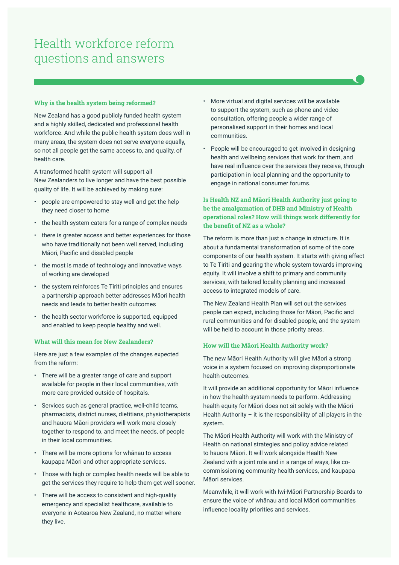# Health workforce reform questions and answers

#### **Why is the health system being reformed?**

New Zealand has a good publicly funded health system and a highly skilled, dedicated and professional health workforce. And while the public health system does well in many areas, the system does not serve everyone equally, so not all people get the same access to, and quality, of health care.

A transformed health system will support all New Zealanders to live longer and have the best possible quality of life. It will be achieved by making sure:

- people are empowered to stay well and get the help they need closer to home
- the health system caters for a range of complex needs
- there is greater access and better experiences for those who have traditionally not been well served, including Māori, Pacific and disabled people
- the most is made of technology and innovative ways of working are developed
- the system reinforces Te Tiriti principles and ensures a partnership approach better addresses Māori health needs and leads to better health outcomes
- the health sector workforce is supported, equipped and enabled to keep people healthy and well.

# **What will this mean for New Zealanders?**

Here are just a few examples of the changes expected from the reform:

- There will be a greater range of care and support available for people in their local communities, with more care provided outside of hospitals.
- Services such as general practice, well-child teams, pharmacists, district nurses, dietitians, physiotherapists and hauora Māori providers will work more closely together to respond to, and meet the needs, of people in their local communities.
- There will be more options for whānau to access kaupapa Māori and other appropriate services.
- Those with high or complex health needs will be able to get the services they require to help them get well sooner.
- There will be access to consistent and high-quality emergency and specialist healthcare, available to everyone in Aotearoa New Zealand, no matter where they live.
- More virtual and digital services will be available to support the system, such as phone and video consultation, offering people a wider range of personalised support in their homes and local communities.
- People will be encouraged to get involved in designing health and wellbeing services that work for them, and have real influence over the services they receive, through participation in local planning and the opportunity to engage in national consumer forums.

# **Is Health NZ and Māori Health Authority just going to be the amalgamation of DHB and Ministry of Health operational roles? How will things work differently for the benefit of NZ as a whole?**

The reform is more than just a change in structure. It is about a fundamental transformation of some of the core components of our health system. It starts with giving effect to Te Tiriti and gearing the whole system towards improving equity. It will involve a shift to primary and community services, with tailored locality planning and increased access to integrated models of care.

The New Zealand Health Plan will set out the services people can expect, including those for Māori, Pacific and rural communities and for disabled people, and the system will be held to account in those priority areas.

## **How will the Māori Health Authority work?**

The new Māori Health Authority will give Māori a strong voice in a system focused on improving disproportionate health outcomes.

It will provide an additional opportunity for Māori influence in how the health system needs to perform. Addressing health equity for Māori does not sit solely with the Māori Health Authority – it is the responsibility of all players in the system.

The Māori Health Authority will work with the Ministry of Health on national strategies and policy advice related to hauora Māori. It will work alongside Health New Zealand with a joint role and in a range of ways, like cocommissioning community health services, and kaupapa Māori services.

Meanwhile, it will work with Iwi-Māori Partnership Boards to ensure the voice of whānau and local Māori communities influence locality priorities and services.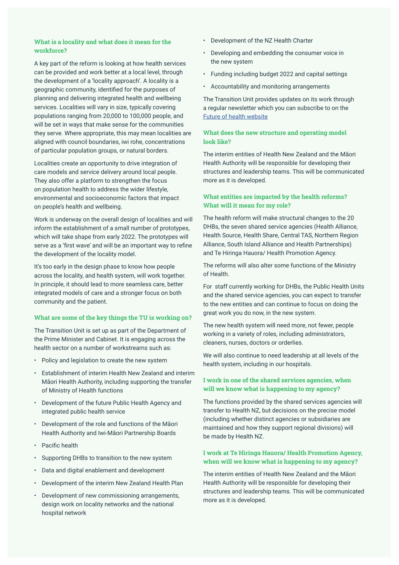# **What is a locality and what does it mean for the workforce?**

A key part of the reform is looking at how health services can be provided and work better at a local level, through the development of a 'locality approach'. A locality is a geographic community, identified for the purposes of planning and delivering integrated health and wellbeing services. Localities will vary in size, typically covering populations ranging from 20,000 to 100,000 people, and will be set in ways that make sense for the communities they serve. Where appropriate, this may mean localities are aligned with council boundaries, iwi rohe, concentrations of particular population groups, or natural borders.

Localities create an opportunity to drive integration of care models and service delivery around local people. They also offer a platform to strengthen the focus on population health to address the wider lifestyle, environmental and socioeconomic factors that impact on people's health and wellbeing.

Work is underway on the overall design of localities and will inform the establishment of a small number of prototypes, which will take shape from early 2022. The prototypes will serve as a 'first wave' and will be an important way to refine the development of the locality model.

It's too early in the design phase to know how people across the locality, and health system, will work together. In principle, it should lead to more seamless care, better integrated models of care and a stronger focus on both community and the patient.

#### **What are some of the key things the TU is working on?**

The Transition Unit is set up as part of the Department of the Prime Minister and Cabinet. It is engaging across the health sector on a number of workstreams such as:

- Policy and legislation to create the new system
- Establishment of interim Health New Zealand and interim Māori Health Authority, including supporting the transfer of Ministry of Health functions
- Development of the future Public Health Agency and integrated public health service
- Development of the role and functions of the Māori Health Authority and Iwi-Māori Partnership Boards
- Pacific health
- Supporting DHBs to transition to the new system
- Data and digital enablement and development
- Development of the interim New Zealand Health Plan
- Development of new commissioning arrangements, design work on locality networks and the national hospital network
- Development of the NZ Health Charter
- Developing and embedding the consumer voice in the new system
- Funding including budget 2022 and capital settings
- Accountability and monitoring arrangements

The Transition Unit provides updates on its work through a regular newsletter which you can subscribe to on the Future of health website

## **What does the new structure and operating model look like?**

The interim entities of Health New Zealand and the Māori Health Authority will be responsible for developing their structures and leadership teams. This will be communicated more as it is developed.

## **What entities are impacted by the health reforms? What will it mean for my role?**

The health reform will make structural changes to the 20 DHBs, the seven shared service agencies (Health Alliance, Health Source, Health Share, Central TAS, Northern Region Alliance, South Island Alliance and Health Partnerships) and Te Hiringa Hauora/ Health Promotion Agency.

The reforms will also alter some functions of the Ministry of Health.

For staff currently working for DHBs, the Public Health Units and the shared service agencies, you can expect to transfer to the new entities and can continue to focus on doing the great work you do now, in the new system.

The new health system will need more, not fewer, people working in a variety of roles, including administrators, cleaners, nurses, doctors or orderlies.

We will also continue to need leadership at all levels of the health system, including in our hospitals.

## **I work in one of the shared services agencies, when will we know what is happening to my agency?**

The functions provided by the shared services agencies will transfer to Health NZ, but decisions on the precise model (including whether distinct agencies or subsidiaries are maintained and how they support regional divisions) will be made by Health NZ.

# **I work at Te Hiringa Hauora/ Health Promotion Agency, when will we know what is happening to my agency?**

The interim entities of Health New Zealand and the Māori Health Authority will be responsible for developing their structures and leadership teams. This will be communicated more as it is developed.